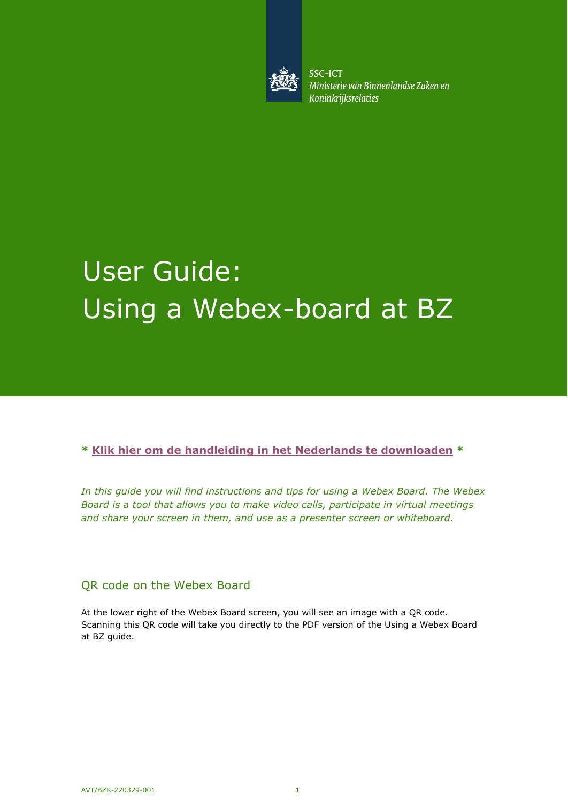

**SSC-ICT** Ministerie van Binnenlandse Zaken en **Koninkrijksrelaties** 

# User Guide: Using a Webex-board at BZ

**\* [Klik hier om de handleiding in het Nederlands te downloaden](https://www.ssc-ict.nl/binaries/ssc-ict/documenten/handleidingen/2021/02/24/snel-aan-de-slag-met-een-webex-bord/handleiding-verbinding-maken-met-een-webex-bord-bij-bz-1.1.pdf) \*** 

*In this guide you will find instructions and tips for using a Webex Board. The Webex Board is a tool that allows you to make video calls, participate in virtual meetings and share your screen in them, and use as a presenter screen or whiteboard.* 

#### QR code on the Webex Board

At the lower right of the Webex Board screen, you will see an image with a QR code. Scanning this QR code will take you directly to the PDF version of the Using a Webex Board at BZ guide.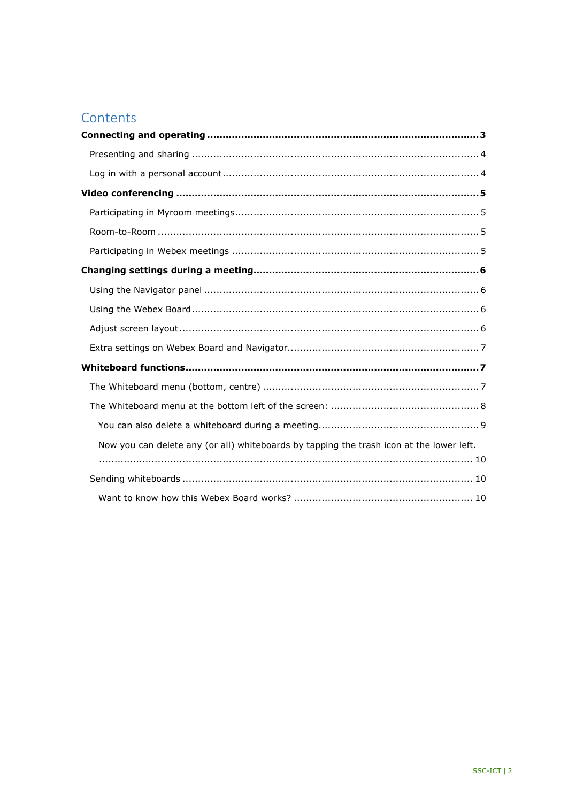# Contents

| Now you can delete any (or all) whiteboards by tapping the trash icon at the lower left. |
|------------------------------------------------------------------------------------------|
|                                                                                          |
|                                                                                          |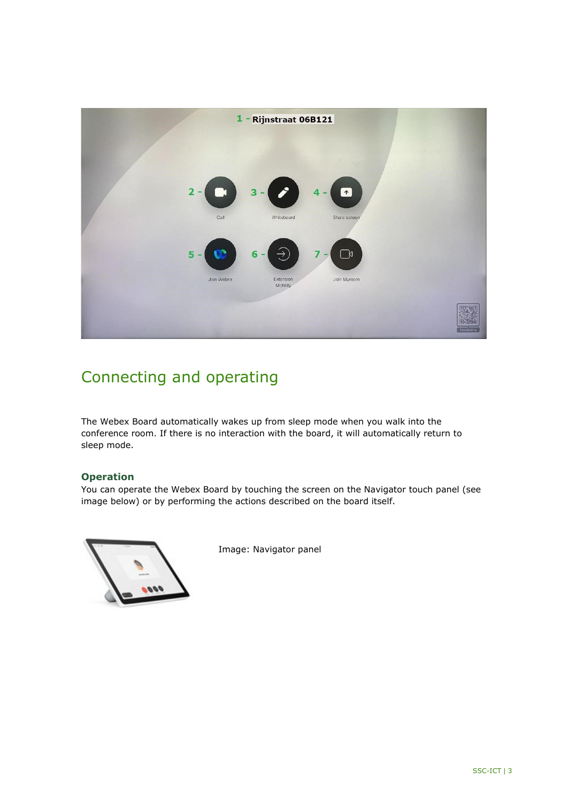

# <span id="page-2-0"></span>Connecting and operating

The Webex Board automatically wakes up from sleep mode when you walk into the conference room. If there is no interaction with the board, it will automatically return to sleep mode.

#### **Operation**

You can operate the Webex Board by touching the screen on the Navigator touch panel (see image below) or by performing the actions described on the board itself.



Image: Navigator panel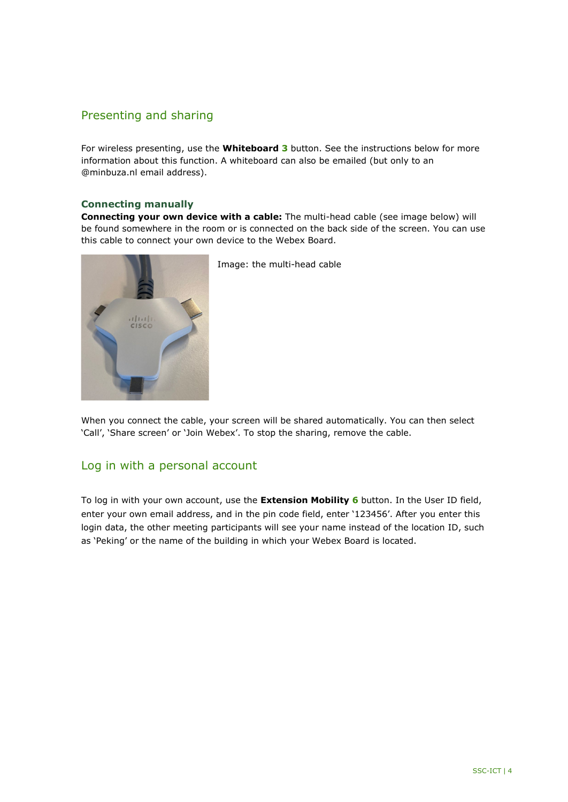#### <span id="page-3-0"></span>Presenting and sharing

For wireless presenting, use the **Whiteboard 3** button. See the instructions below for more information about this function. A whiteboard can also be emailed (but only to an @minbuza.nl email address).

#### **Connecting manually**

**Connecting your own device with a cable:** The multi-head cable (see image below) will be found somewhere in the room or is connected on the back side of the screen. You can use this cable to connect your own device to the Webex Board.



Image: the multi-head cable

When you connect the cable, your screen will be shared automatically. You can then select 'Call', 'Share screen' or 'Join Webex'. To stop the sharing, remove the cable.

#### <span id="page-3-1"></span>Log in with a personal account

To log in with your own account, use the **Extension Mobility 6** button. In the User ID field, enter your own email address, and in the pin code field, enter '123456'. After you enter this login data, the other meeting participants will see your name instead of the location ID, such as 'Peking' or the name of the building in which your Webex Board is located.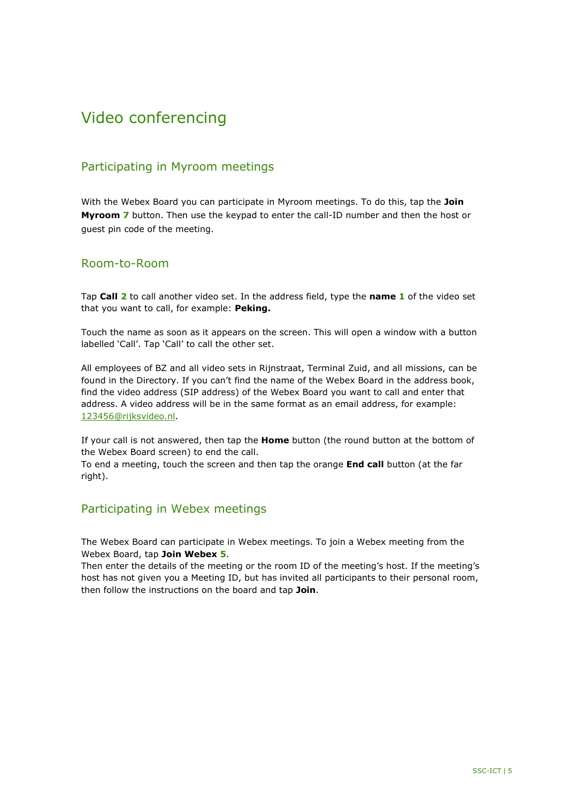# <span id="page-4-0"></span>Video conferencing

## <span id="page-4-1"></span>Participating in Myroom meetings

With the Webex Board you can participate in Myroom meetings. To do this, tap the **Join Myroom 7** button. Then use the keypad to enter the call-ID number and then the host or guest pin code of the meeting.

#### <span id="page-4-2"></span>Room-to-Room

Tap **Call 2** to call another video set. In the address field, type the **name 1** of the video set that you want to call, for example: **Peking.**

Touch the name as soon as it appears on the screen. This will open a window with a button labelled 'Call'. Tap 'Call' to call the other set.

All employees of BZ and all video sets in Rijnstraat, Terminal Zuid, and all missions, can be found in the Directory. If you can't find the name of the Webex Board in the address book, find the video address (SIP address) of the Webex Board you want to call and enter that address. A video address will be in the same format as an email address, for example: [123456@rijksvideo.nl.](mailto:123456@rijksvideo.nl)

If your call is not answered, then tap the **Home** button (the round button at the bottom of the Webex Board screen) to end the call.

To end a meeting, touch the screen and then tap the orange **End call** button (at the far right).

#### <span id="page-4-3"></span>Participating in Webex meetings

The Webex Board can participate in Webex meetings. To join a Webex meeting from the Webex Board, tap **Join Webex 5**.

Then enter the details of the meeting or the room ID of the meeting's host. If the meeting's host has not given you a Meeting ID, but has invited all participants to their personal room, then follow the instructions on the board and tap **Join**.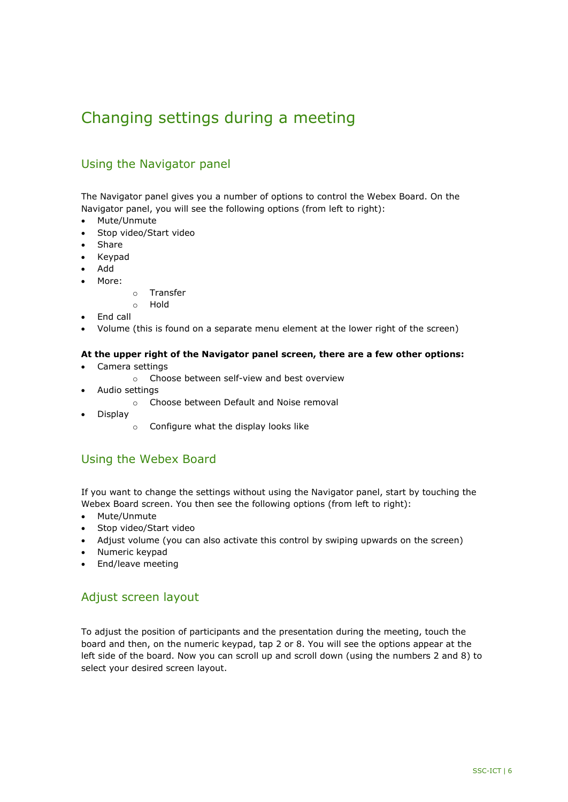# <span id="page-5-0"></span>Changing settings during a meeting

## <span id="page-5-1"></span>Using the Navigator panel

The Navigator panel gives you a number of options to control the Webex Board. On the Navigator panel, you will see the following options (from left to right):

- Mute/Unmute
- Stop video/Start video
- Share
- Keypad
- Add
- More:
- o Transfer
- o Hold
- End call
- Volume (this is found on a separate menu element at the lower right of the screen)

#### **At the upper right of the Navigator panel screen, there are a few other options:**

- Camera settings
	- o Choose between self-view and best overview
- Audio settings
	- o Choose between Default and Noise removal
- Display
	- o Configure what the display looks like

#### <span id="page-5-2"></span>Using the Webex Board

If you want to change the settings without using the Navigator panel, start by touching the Webex Board screen. You then see the following options (from left to right):

- Mute/Unmute
- Stop video/Start video
- Adjust volume (you can also activate this control by swiping upwards on the screen)
- Numeric keypad
- End/leave meeting

#### <span id="page-5-3"></span>Adjust screen layout

To adjust the position of participants and the presentation during the meeting, touch the board and then, on the numeric keypad, tap 2 or 8. You will see the options appear at the left side of the board. Now you can scroll up and scroll down (using the numbers 2 and 8) to select your desired screen layout.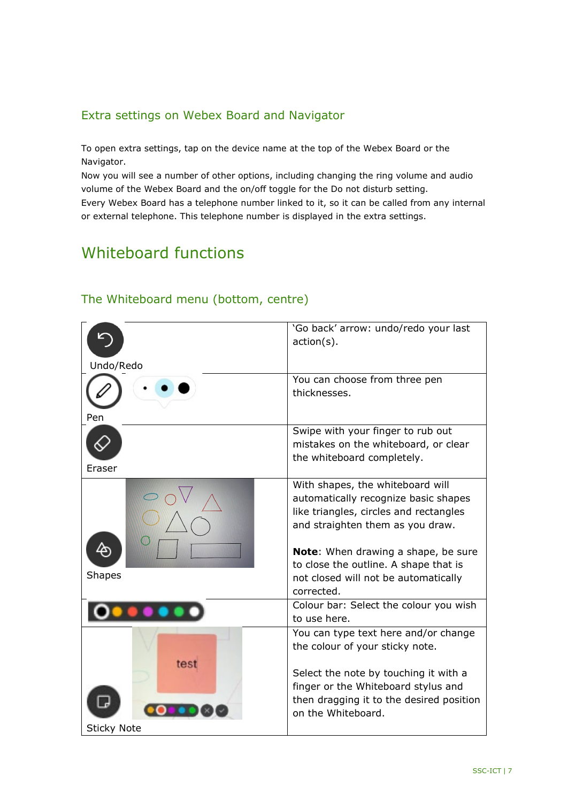## <span id="page-6-0"></span>Extra settings on Webex Board and Navigator

To open extra settings, tap on the device name at the top of the Webex Board or the Navigator.

Now you will see a number of other options, including changing the ring volume and audio volume of the Webex Board and the on/off toggle for the Do not disturb setting. Every Webex Board has a telephone number linked to it, so it can be called from any internal or external telephone. This telephone number is displayed in the extra settings.

# <span id="page-6-1"></span>Whiteboard functions

|                    | 'Go back' arrow: undo/redo your last<br>$action(s)$ .                         |
|--------------------|-------------------------------------------------------------------------------|
|                    |                                                                               |
| Undo/Redo          |                                                                               |
|                    | You can choose from three pen                                                 |
|                    | thicknesses.                                                                  |
| Pen                |                                                                               |
|                    | Swipe with your finger to rub out                                             |
|                    | mistakes on the whiteboard, or clear                                          |
| Eraser             | the whiteboard completely.                                                    |
|                    | With shapes, the whiteboard will                                              |
|                    | automatically recognize basic shapes                                          |
|                    | like triangles, circles and rectangles                                        |
|                    | and straighten them as you draw.                                              |
|                    |                                                                               |
|                    | <b>Note:</b> When drawing a shape, be sure                                    |
| <b>Shapes</b>      | to close the outline. A shape that is<br>not closed will not be automatically |
|                    | corrected.                                                                    |
|                    | Colour bar: Select the colour you wish                                        |
|                    | to use here.                                                                  |
|                    | You can type text here and/or change                                          |
|                    | the colour of your sticky note.                                               |
| test               |                                                                               |
|                    | Select the note by touching it with a<br>finger or the Whiteboard stylus and  |
|                    | then dragging it to the desired position                                      |
|                    | on the Whiteboard.                                                            |
| <b>Sticky Note</b> |                                                                               |

#### <span id="page-6-2"></span>The Whiteboard menu (bottom, centre)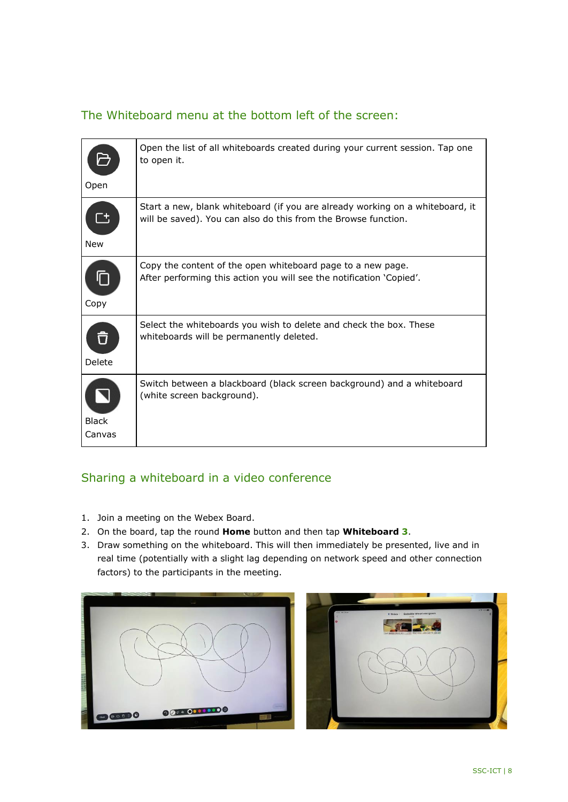## <span id="page-7-0"></span>The Whiteboard menu at the bottom left of the screen:

|                        | Open the list of all whiteboards created during your current session. Tap one<br>to open it.                                                    |
|------------------------|-------------------------------------------------------------------------------------------------------------------------------------------------|
| Open                   |                                                                                                                                                 |
| <b>New</b>             | Start a new, blank whiteboard (if you are already working on a whiteboard, it<br>will be saved). You can also do this from the Browse function. |
| Copy                   | Copy the content of the open whiteboard page to a new page.<br>After performing this action you will see the notification 'Copied'.             |
| បិ<br>Delete           | Select the whiteboards you wish to delete and check the box. These<br>whiteboards will be permanently deleted.                                  |
| <b>Black</b><br>Canvas | Switch between a blackboard (black screen background) and a whiteboard<br>(white screen background).                                            |

## Sharing a whiteboard in a video conference

- 1. Join a meeting on the Webex Board.
- 2. On the board, tap the round **Home** button and then tap **Whiteboard 3**.
- 3. Draw something on the whiteboard. This will then immediately be presented, live and in real time (potentially with a slight lag depending on network speed and other connection factors) to the participants in the meeting.



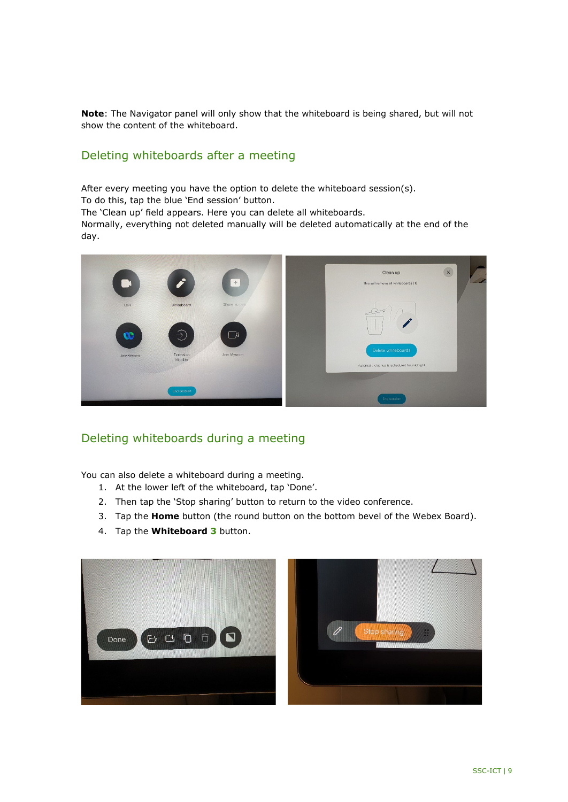**Note**: The Navigator panel will only show that the whiteboard is being shared, but will not show the content of the whiteboard.

#### Deleting whiteboards after a meeting

After every meeting you have the option to delete the whiteboard session(s). To do this, tap the blue 'End session' button. The 'Clean up' field appears. Here you can delete all whiteboards. Normally, everything not deleted manually will be deleted automatically at the end of the day.



#### Deleting whiteboards during a meeting

<span id="page-8-0"></span>You can also delete a whiteboard during a meeting.

- 1. At the lower left of the whiteboard, tap 'Done'.
- 2. Then tap the 'Stop sharing' button to return to the video conference.
- 3. Tap the **Home** button (the round button on the bottom bevel of the Webex Board).
- 4. Tap the **Whiteboard 3** button.